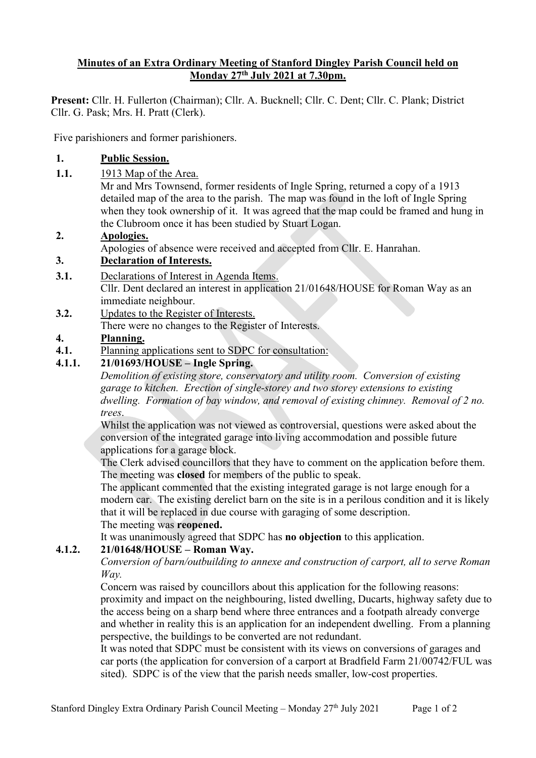## **Minutes of an Extra Ordinary Meeting of Stanford Dingley Parish Council held on Monday 27th July 2021 at 7.30pm.**

**Present:** Cllr. H. Fullerton (Chairman); Cllr. A. Bucknell; Cllr. C. Dent; Cllr. C. Plank; District Cllr. G. Pask; Mrs. H. Pratt (Clerk).

Five parishioners and former parishioners.

## **1. Public Session.**

**1.1.** 1913 Map of the Area.

Mr and Mrs Townsend, former residents of Ingle Spring, returned a copy of a 1913 detailed map of the area to the parish. The map was found in the loft of Ingle Spring when they took ownership of it. It was agreed that the map could be framed and hung in the Clubroom once it has been studied by Stuart Logan.

## **2. Apologies.**

Apologies of absence were received and accepted from Cllr. E. Hanrahan.

## **3. Declaration of Interests.**

- **3.1.** Declarations of Interest in Agenda Items. Cllr. Dent declared an interest in application 21/01648/HOUSE for Roman Way as an immediate neighbour.
- **3.2.** Updates to the Register of Interests.

There were no changes to the Register of Interests.

#### **4. Planning.**

**4.1.** Planning applications sent to SDPC for consultation:

# **4.1.1. 21/01693/HOUSE – Ingle Spring.**

*Demolition of existing store, conservatory and utility room. Conversion of existing garage to kitchen. Erection of single-storey and two storey extensions to existing dwelling. Formation of bay window, and removal of existing chimney. Removal of 2 no. trees*.

Whilst the application was not viewed as controversial, questions were asked about the conversion of the integrated garage into living accommodation and possible future applications for a garage block.

The Clerk advised councillors that they have to comment on the application before them. The meeting was **closed** for members of the public to speak.

The applicant commented that the existing integrated garage is not large enough for a modern car. The existing derelict barn on the site is in a perilous condition and it is likely that it will be replaced in due course with garaging of some description. The meeting was **reopened.**

It was unanimously agreed that SDPC has **no objection** to this application.

## **4.1.2. 21/01648/HOUSE – Roman Way.**

*Conversion of barn/outbuilding to annexe and construction of carport, all to serve Roman Way.*

Concern was raised by councillors about this application for the following reasons: proximity and impact on the neighbouring, listed dwelling, Ducarts, highway safety due to the access being on a sharp bend where three entrances and a footpath already converge and whether in reality this is an application for an independent dwelling. From a planning perspective, the buildings to be converted are not redundant.

It was noted that SDPC must be consistent with its views on conversions of garages and car ports (the application for conversion of a carport at Bradfield Farm 21/00742/FUL was sited). SDPC is of the view that the parish needs smaller, low-cost properties.